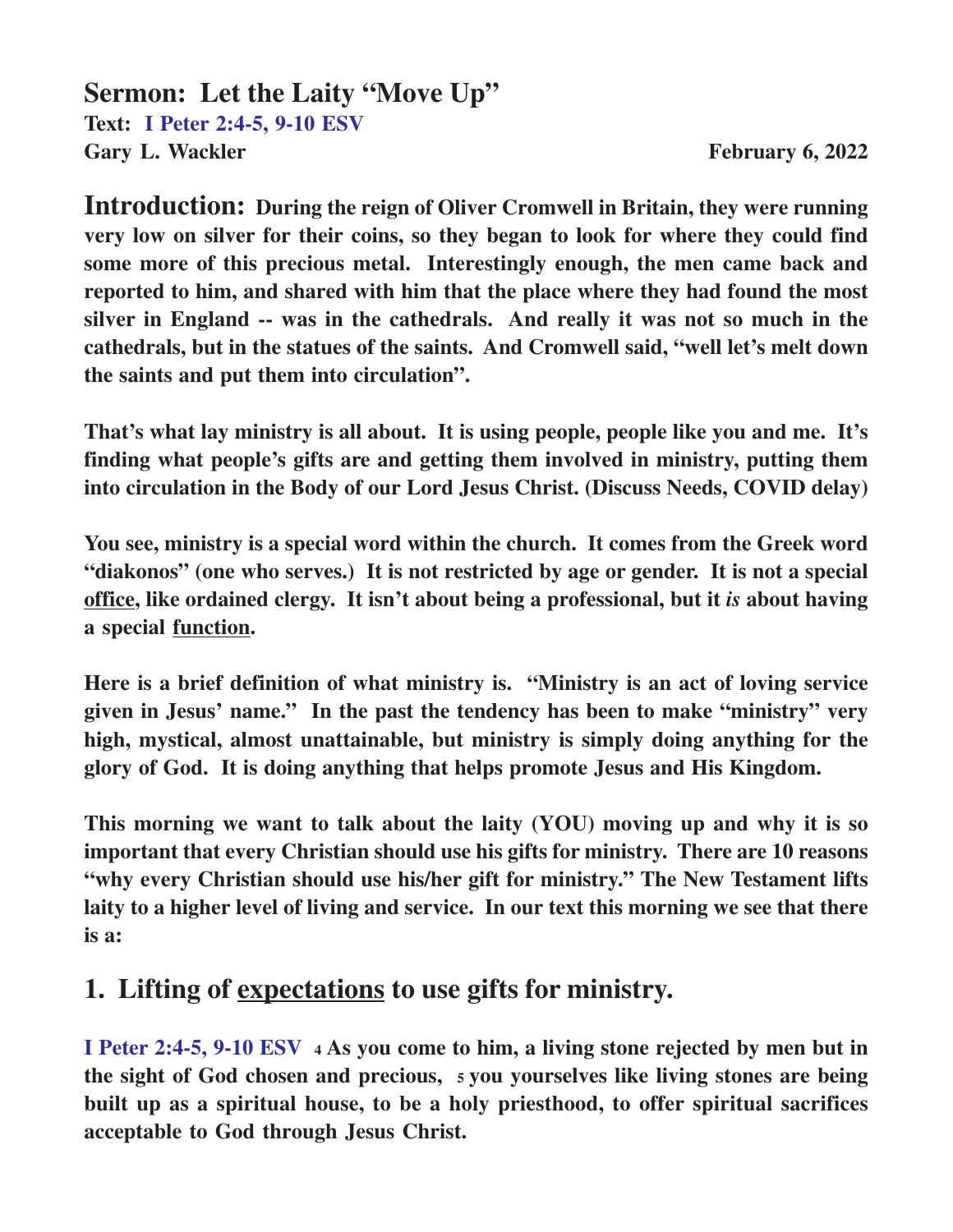#### **Sermon: Let the Laity "Move Up" Text: I Peter 2:4-5, 9-10 ESV** Gary L. Wackler **February 6, 2022**

**Introduction: During the reign of Oliver Cromwell in Britain, they were running very low on silver for their coins, so they began to look for where they could find some more of this precious metal. Interestingly enough, the men came back and reported to him, and shared with him that the place where they had found the most silver in England -- was in the cathedrals. And really it was not so much in the cathedrals, but in the statues of the saints. And Cromwell said, "well let's melt down the saints and put them into circulation".**

**That's what lay ministry is all about. It is using people, people like you and me. It's finding what people's gifts are and getting them involved in ministry, putting them into circulation in the Body of our Lord Jesus Christ. (Discuss Needs, COVID delay)**

**You see, ministry is a special word within the church. It comes from the Greek word "diakonos" (one who serves.) It is not restricted by age or gender. It is not a special office, like ordained clergy. It isn't about being a professional, but it** *is* **about having a special function.**

**Here is a brief definition of what ministry is. "Ministry is an act of loving service given in Jesus' name." In the past the tendency has been to make "ministry" very high, mystical, almost unattainable, but ministry is simply doing anything for the glory of God. It is doing anything that helps promote Jesus and His Kingdom.**

**This morning we want to talk about the laity (YOU) moving up and why it is so important that every Christian should use his gifts for ministry. There are 10 reasons "why every Christian should use his/her gift for ministry." The New Testament lifts laity to a higher level of living and service. In our text this morning we see that there is a:**

### **1. Lifting of expectations to use gifts for ministry.**

**I Peter 2:4-5, 9-10 ESV <sup>4</sup> As you come to him, a living stone rejected by men but in the sight of God chosen and precious, 5 you yourselves like living stones are being built up as a spiritual house, to be a holy priesthood, to offer spiritual sacrifices acceptable to God through Jesus Christ.**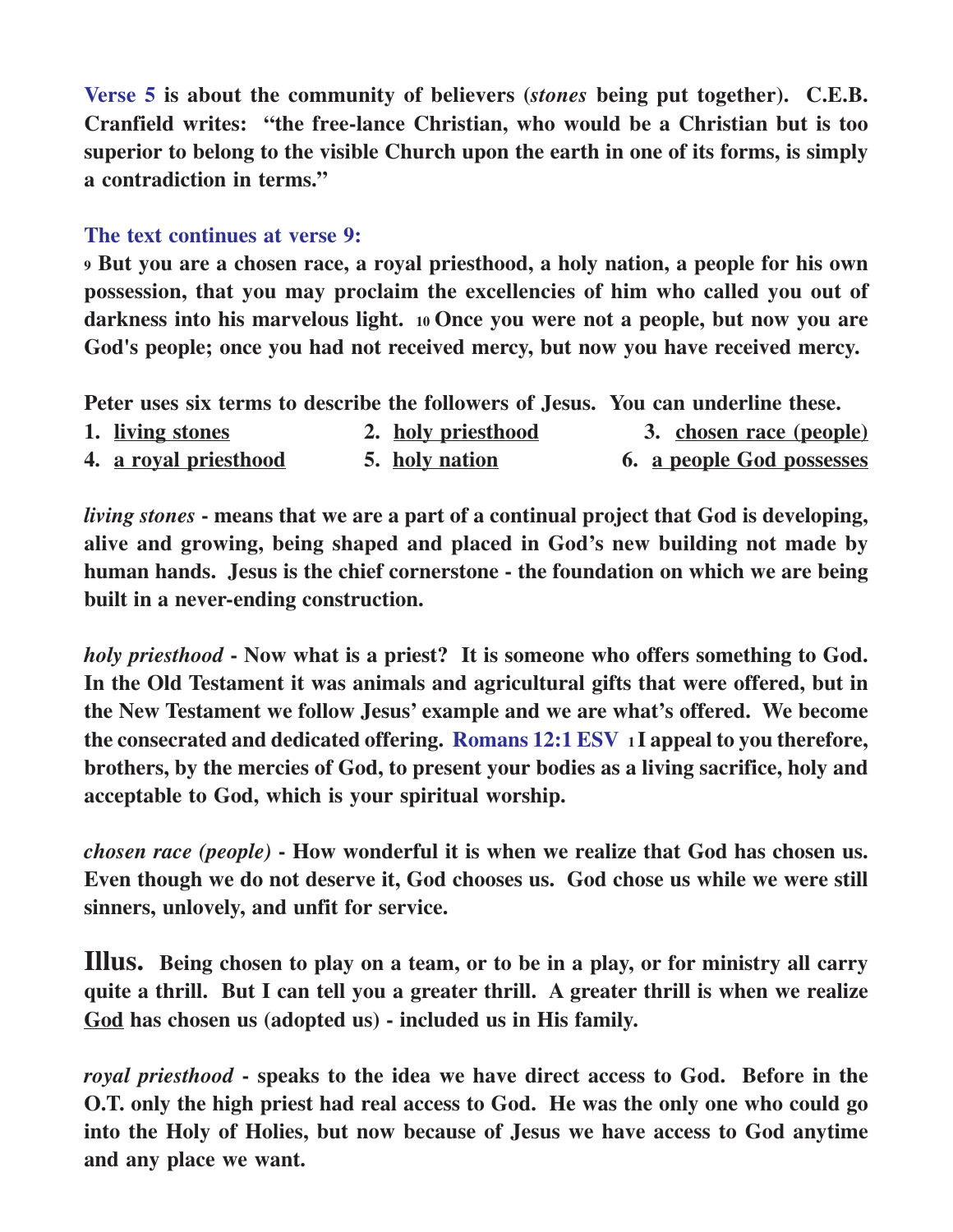**Verse 5 is about the community of believers (***stones* **being put together). C.E.B. Cranfield writes: "the free-lance Christian, who would be a Christian but is too superior to belong to the visible Church upon the earth in one of its forms, is simply a contradiction in terms."**

#### **The text continues at verse 9:**

**<sup>9</sup> But you are a chosen race, a royal priesthood, a holy nation, a people for his own possession, that you may proclaim the excellencies of him who called you out of darkness into his marvelous light. 10 Once you were not a people, but now you are God's people; once you had not received mercy, but now you have received mercy.**

**Peter uses six terms to describe the followers of Jesus. You can underline these.**

| 1. living stones             | 2. holy priesthood | 3. chosen race (people)   |
|------------------------------|--------------------|---------------------------|
| 4. <u>a royal priesthood</u> | 5. holy nation     | 6. a people God possesses |

*living stones* **- means that we are a part of a continual project that God is developing, alive and growing, being shaped and placed in God's new building not made by human hands. Jesus is the chief cornerstone - the foundation on which we are being built in a never-ending construction.**

*holy priesthood* **- Now what is a priest? It is someone who offers something to God. In the Old Testament it was animals and agricultural gifts that were offered, but in the New Testament we follow Jesus' example and we are what's offered. We become the consecrated and dedicated offering. Romans 12:1 ESV 1 I appeal to you therefore, brothers, by the mercies of God, to present your bodies as a living sacrifice, holy and acceptable to God, which is your spiritual worship.**

*chosen race (people)* **- How wonderful it is when we realize that God has chosen us. Even though we do not deserve it, God chooses us. God chose us while we were still sinners, unlovely, and unfit for service.**

**Illus. Being chosen to play on a team, or to be in a play, or for ministry all carry quite a thrill. But I can tell you a greater thrill. A greater thrill is when we realize God has chosen us (adopted us) - included us in His family.**

*royal priesthood* **- speaks to the idea we have direct access to God. Before in the O.T. only the high priest had real access to God. He was the only one who could go into the Holy of Holies, but now because of Jesus we have access to God anytime and any place we want.**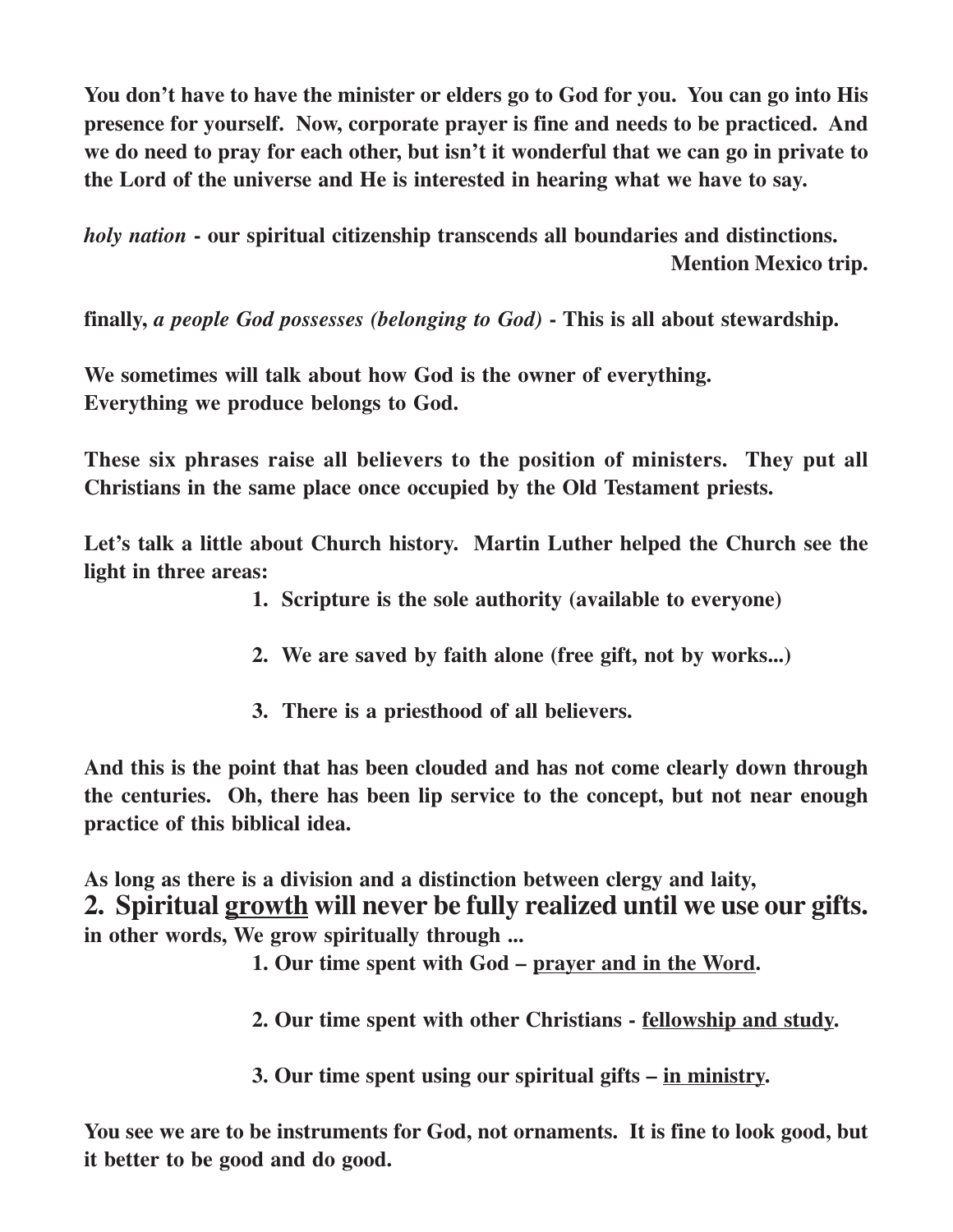**You don't have to have the minister or elders go to God for you. You can go into His presence for yourself. Now, corporate prayer is fine and needs to be practiced. And we do need to pray for each other, but isn't it wonderful that we can go in private to the Lord of the universe and He is interested in hearing what we have to say.**

*holy nation* **- our spiritual citizenship transcends all boundaries and distinctions. Mention Mexico trip.**

**finally,** *a people God possesses (belonging to God)* **- This is all about stewardship.**

**We sometimes will talk about how God is the owner of everything. Everything we produce belongs to God.**

**These six phrases raise all believers to the position of ministers. They put all Christians in the same place once occupied by the Old Testament priests.**

**Let's talk a little about Church history. Martin Luther helped the Church see the light in three areas:**

- **1. Scripture is the sole authority (available to everyone)**
- **2. We are saved by faith alone (free gift, not by works...)**
- **3. There is a priesthood of all believers.**

**And this is the point that has been clouded and has not come clearly down through the centuries. Oh, there has been lip service to the concept, but not near enough practice of this biblical idea.**

**As long as there is a division and a distinction between clergy and laity, 2. Spiritual growth will never be fully realized until we use our gifts. in other words, We grow spiritually through ...**

- **1. Our time spent with God prayer and in the Word.**
- **2. Our time spent with other Christians fellowship and study.**
- **3. Our time spent using our spiritual gifts in ministry.**

**You see we are to be instruments for God, not ornaments. It is fine to look good, but it better to be good and do good.**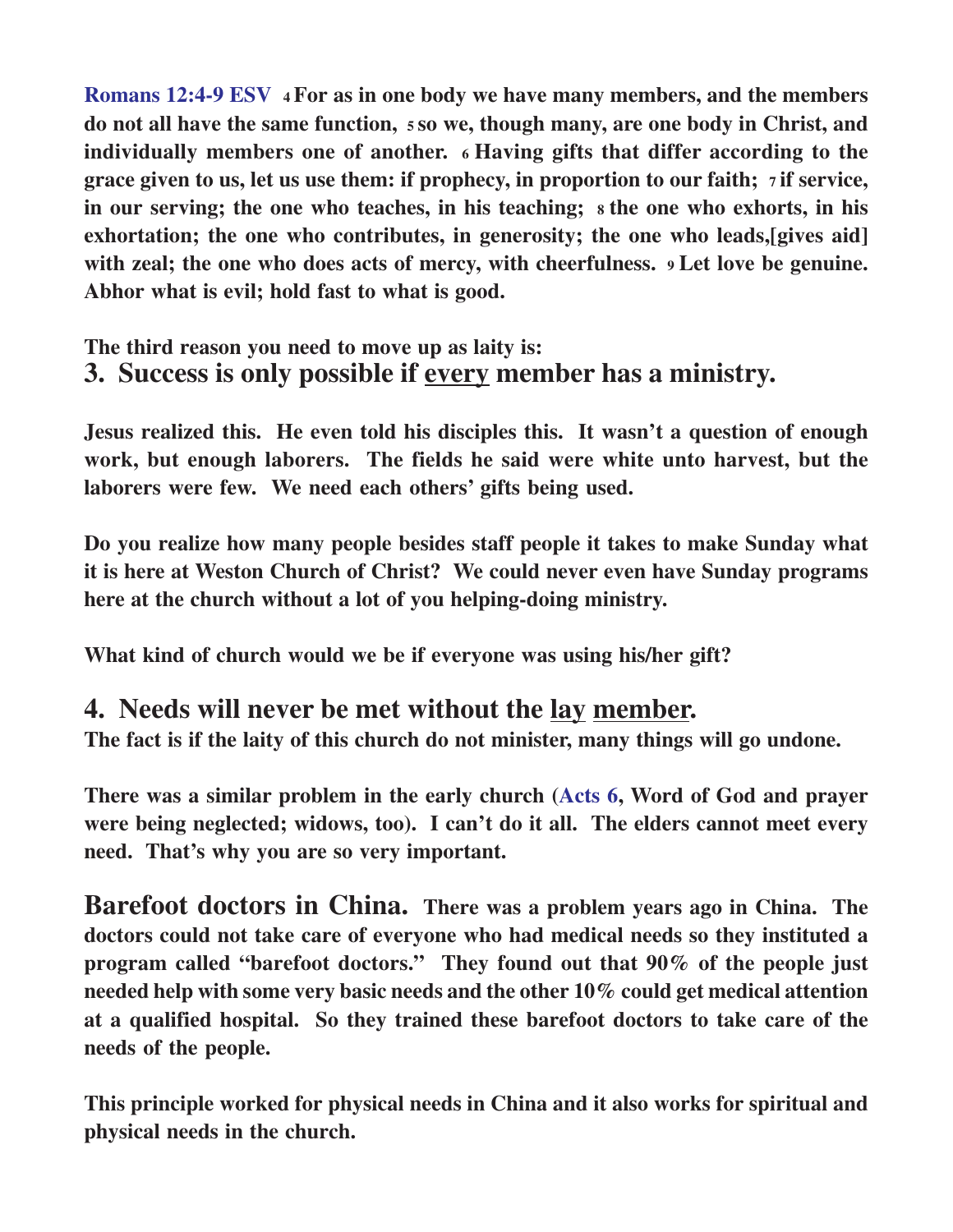**Romans 12:4-9 ESV 4 For as in one body we have many members, and the members do not all have the same function, 5 so we, though many, are one body in Christ, and individually members one of another. 6 Having gifts that differ according to the grace given to us, let us use them: if prophecy, in proportion to our faith; 7 if service, in our serving; the one who teaches, in his teaching; 8 the one who exhorts, in his exhortation; the one who contributes, in generosity; the one who leads,[gives aid] with zeal; the one who does acts of mercy, with cheerfulness. 9 Let love be genuine. Abhor what is evil; hold fast to what is good.**

#### **The third reason you need to move up as laity is: 3. Success is only possible if every member has a ministry.**

**Jesus realized this. He even told his disciples this. It wasn't a question of enough work, but enough laborers. The fields he said were white unto harvest, but the laborers were few. We need each others' gifts being used.**

**Do you realize how many people besides staff people it takes to make Sunday what it is here at Weston Church of Christ? We could never even have Sunday programs here at the church without a lot of you helping-doing ministry.**

**What kind of church would we be if everyone was using his/her gift?**

### **4. Needs will never be met without the lay member.**

**The fact is if the laity of this church do not minister, many things will go undone.**

**There was a similar problem in the early church (Acts 6, Word of God and prayer were being neglected; widows, too). I can't do it all. The elders cannot meet every need. That's why you are so very important.**

**Barefoot doctors in China. There was a problem years ago in China. The doctors could not take care of everyone who had medical needs so they instituted a program called "barefoot doctors." They found out that 90% of the people just needed help with some very basic needs and the other 10% could get medical attention at a qualified hospital. So they trained these barefoot doctors to take care of the needs of the people.**

**This principle worked for physical needs in China and it also works for spiritual and physical needs in the church.**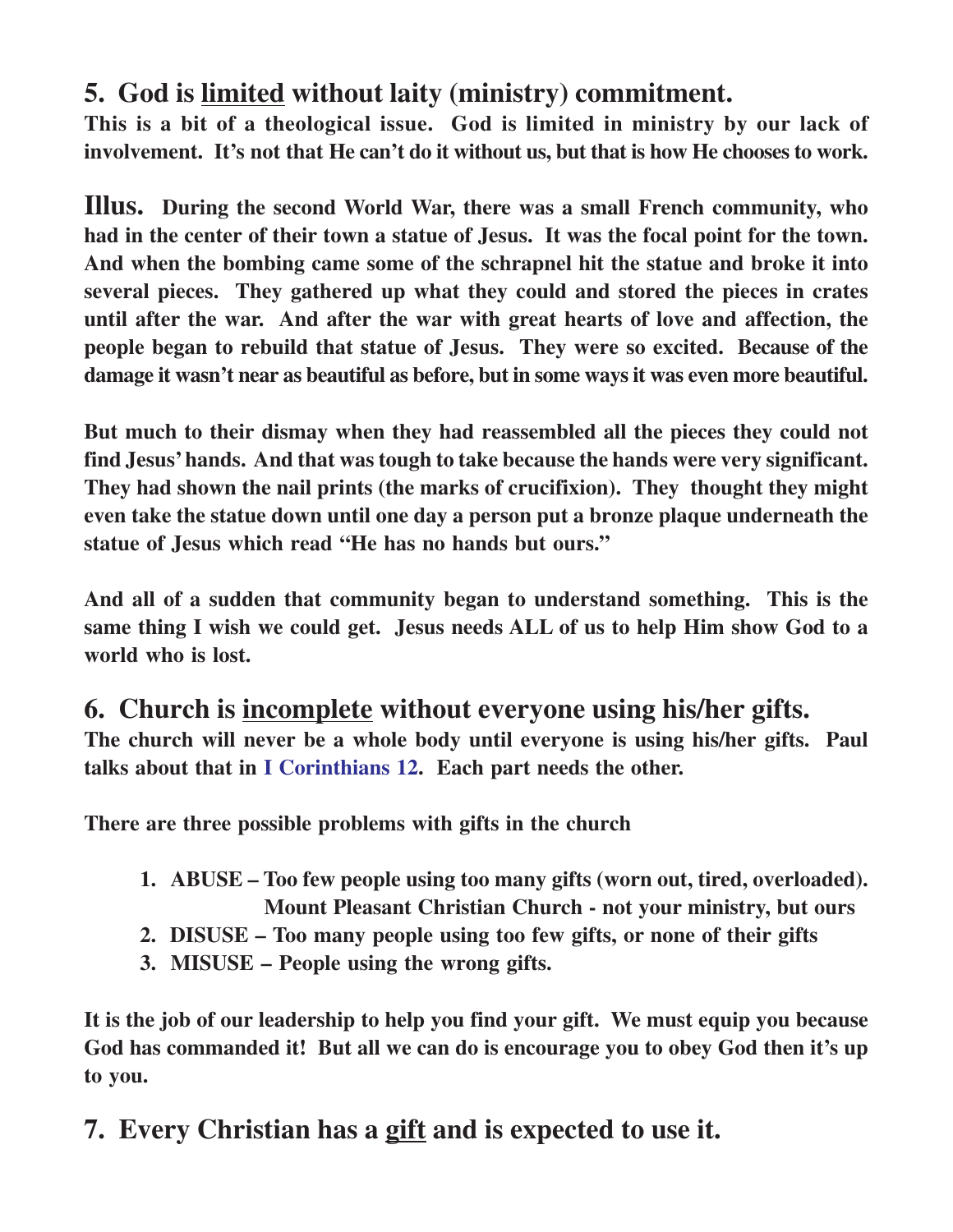# **5. God is limited without laity (ministry) commitment.**

**This is a bit of a theological issue. God is limited in ministry by our lack of involvement. It's not that He can't do it without us, but that is how He chooses to work.**

**Illus. During the second World War, there was a small French community, who had in the center of their town a statue of Jesus. It was the focal point for the town. And when the bombing came some of the schrapnel hit the statue and broke it into several pieces. They gathered up what they could and stored the pieces in crates until after the war. And after the war with great hearts of love and affection, the people began to rebuild that statue of Jesus. They were so excited. Because of the damage it wasn't near as beautiful as before, but in some ways it was even more beautiful.**

**But much to their dismay when they had reassembled all the pieces they could not find Jesus' hands. And that was tough to take because the hands were very significant. They had shown the nail prints (the marks of crucifixion). They thought they might even take the statue down until one day a person put a bronze plaque underneath the statue of Jesus which read "He has no hands but ours."**

**And all of a sudden that community began to understand something. This is the same thing I wish we could get. Jesus needs ALL of us to help Him show God to a world who is lost.**

### **6. Church is incomplete without everyone using his/her gifts.**

**The church will never be a whole body until everyone is using his/her gifts. Paul talks about that in I Corinthians 12. Each part needs the other.**

**There are three possible problems with gifts in the church**

- **1. ABUSE Too few people using too many gifts (worn out, tired, overloaded). Mount Pleasant Christian Church - not your ministry, but ours**
- **2. DISUSE Too many people using too few gifts, or none of their gifts**
- **3. MISUSE People using the wrong gifts.**

**It is the job of our leadership to help you find your gift. We must equip you because God has commanded it! But all we can do is encourage you to obey God then it's up to you.**

# **7. Every Christian has a gift and is expected to use it.**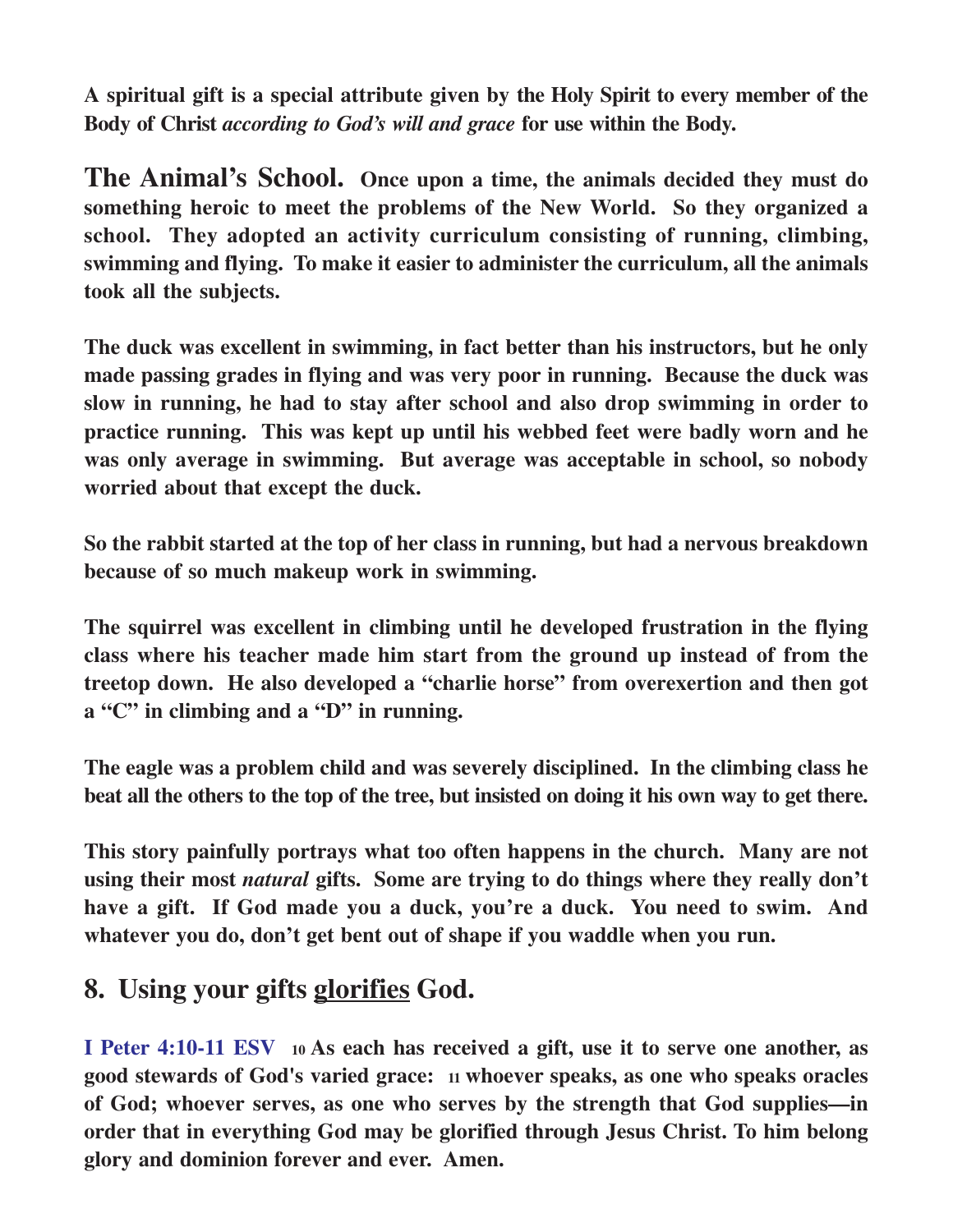**A spiritual gift is a special attribute given by the Holy Spirit to every member of the Body of Christ** *according to God's will and grace* **for use within the Body.**

**The Animal's School. Once upon a time, the animals decided they must do something heroic to meet the problems of the New World. So they organized a school. They adopted an activity curriculum consisting of running, climbing, swimming and flying. To make it easier to administer the curriculum, all the animals took all the subjects.**

**The duck was excellent in swimming, in fact better than his instructors, but he only made passing grades in flying and was very poor in running. Because the duck was slow in running, he had to stay after school and also drop swimming in order to practice running. This was kept up until his webbed feet were badly worn and he was only average in swimming. But average was acceptable in school, so nobody worried about that except the duck.**

**So the rabbit started at the top of her class in running, but had a nervous breakdown because of so much makeup work in swimming.**

**The squirrel was excellent in climbing until he developed frustration in the flying class where his teacher made him start from the ground up instead of from the treetop down. He also developed a "charlie horse" from overexertion and then got a "C" in climbing and a "D" in running.**

**The eagle was a problem child and was severely disciplined. In the climbing class he beat all the others to the top of the tree, but insisted on doing it his own way to get there.**

**This story painfully portrays what too often happens in the church. Many are not using their most** *natural* **gifts. Some are trying to do things where they really don't have a gift. If God made you a duck, you're a duck. You need to swim. And whatever you do, don't get bent out of shape if you waddle when you run.**

# **8. Using your gifts glorifies God.**

**I Peter 4:10-11 ESV <sup>10</sup>As each has received a gift, use it to serve one another, as good stewards of God's varied grace: 11 whoever speaks, as one who speaks oracles of God; whoever serves, as one who serves by the strength that God supplies—in order that in everything God may be glorified through Jesus Christ. To him belong glory and dominion forever and ever. Amen.**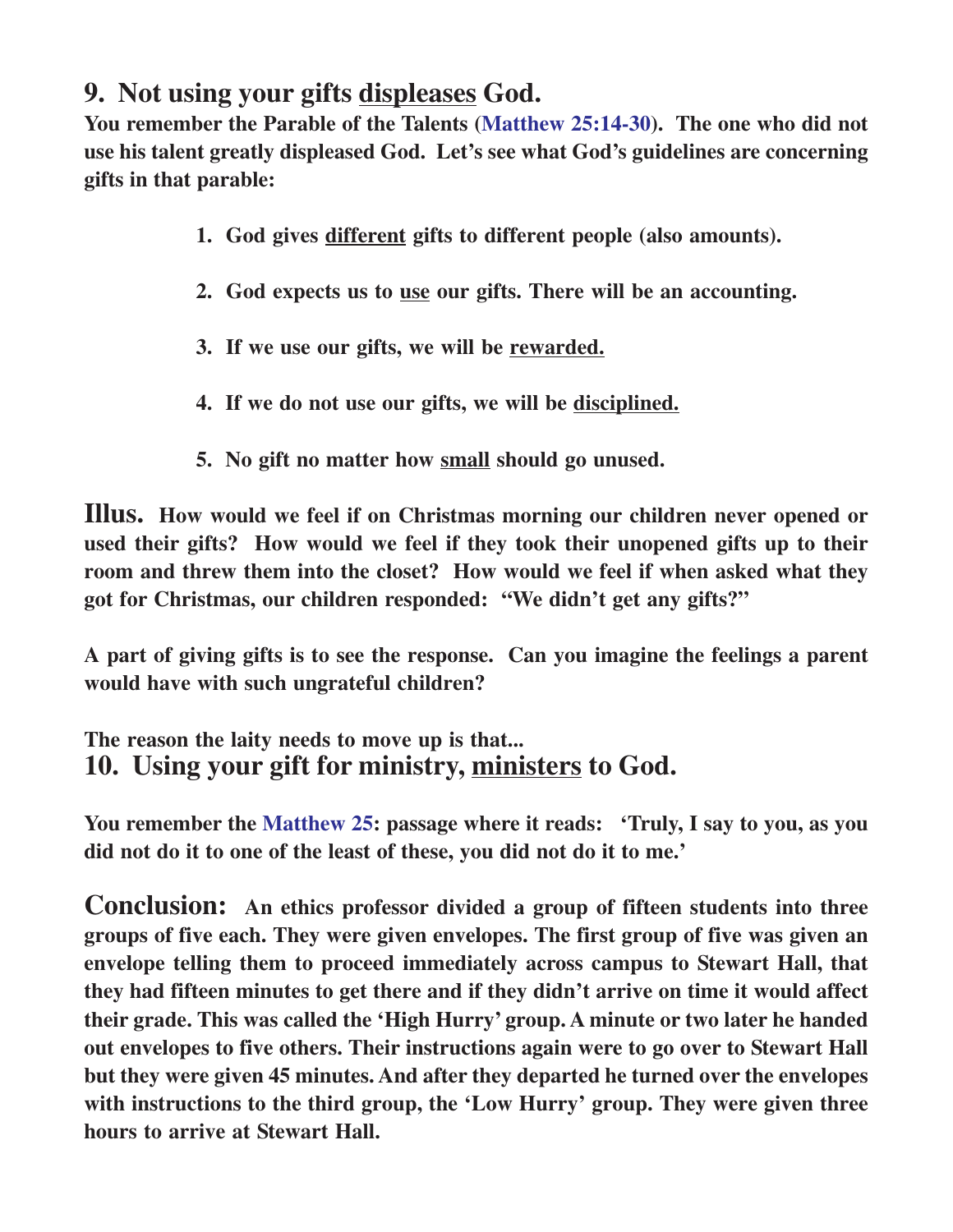# **9. Not using your gifts displeases God.**

**You remember the Parable of the Talents (Matthew 25:14-30). The one who did not use his talent greatly displeased God. Let's see what God's guidelines are concerning gifts in that parable:**

- **1. God gives different gifts to different people (also amounts).**
- **2. God expects us to use our gifts. There will be an accounting.**
- **3. If we use our gifts, we will be rewarded.**
- **4. If we do not use our gifts, we will be disciplined.**
- **5. No gift no matter how small should go unused.**

**Illus. How would we feel if on Christmas morning our children never opened or used their gifts? How would we feel if they took their unopened gifts up to their room and threw them into the closet? How would we feel if when asked what they got for Christmas, our children responded: "We didn't get any gifts?"**

**A part of giving gifts is to see the response. Can you imagine the feelings a parent would have with such ungrateful children?**

#### **The reason the laity needs to move up is that... 10. Using your gift for ministry, ministers to God.**

**You remember the Matthew 25: passage where it reads: 'Truly, I say to you, as you did not do it to one of the least of these, you did not do it to me.'**

**Conclusion: An ethics professor divided a group of fifteen students into three groups of five each. They were given envelopes. The first group of five was given an envelope telling them to proceed immediately across campus to Stewart Hall, that they had fifteen minutes to get there and if they didn't arrive on time it would affect their grade. This was called the 'High Hurry' group. A minute or two later he handed out envelopes to five others. Their instructions again were to go over to Stewart Hall but they were given 45 minutes. And after they departed he turned over the envelopes with instructions to the third group, the 'Low Hurry' group. They were given three hours to arrive at Stewart Hall.**